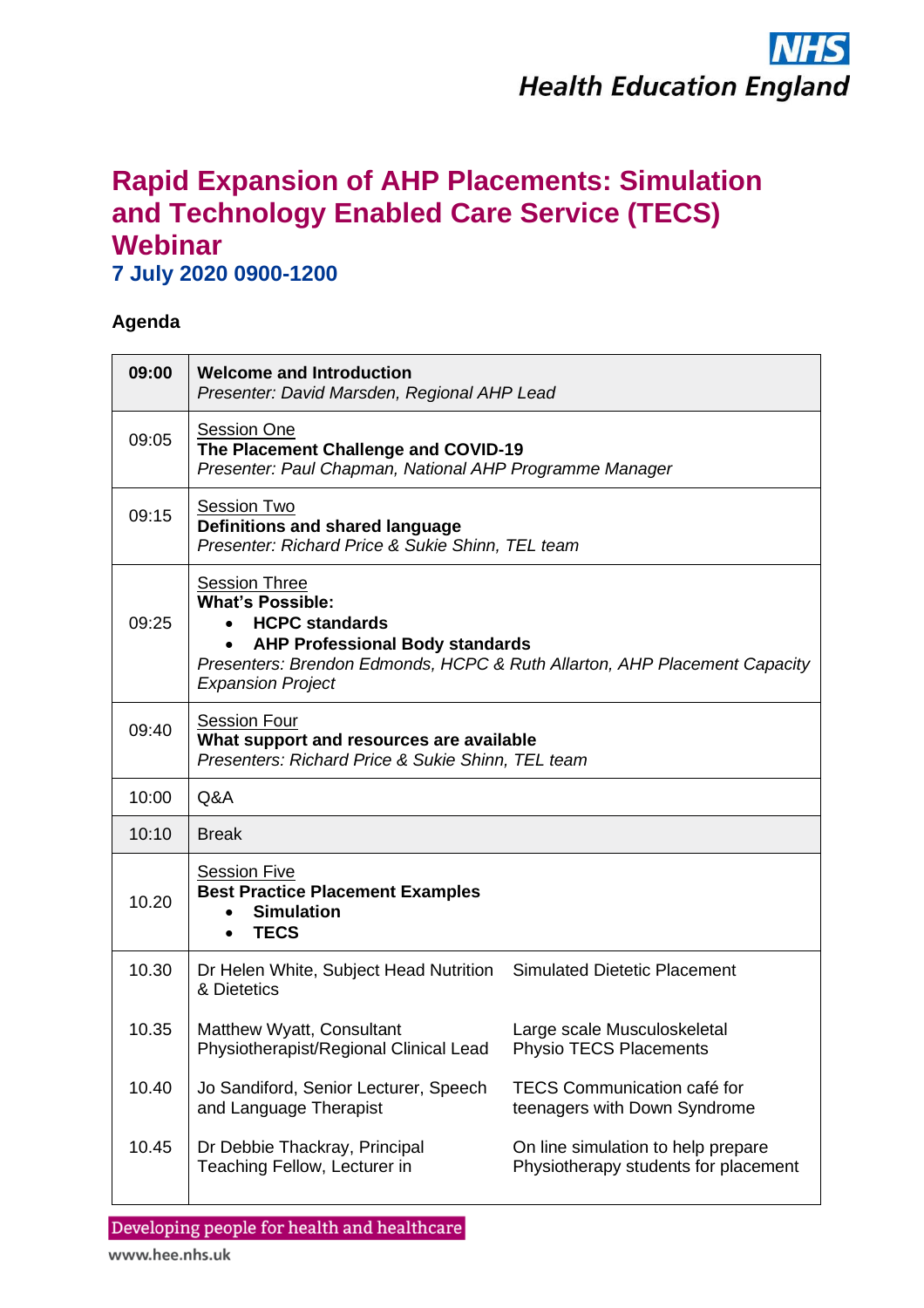

## **Rapid Expansion of AHP Placements: Simulation and Technology Enabled Care Service (TECS) Webinar**

**7 July 2020 0900-1200**

## **Agenda**

| 09:00 | <b>Welcome and Introduction</b><br>Presenter: David Marsden, Regional AHP Lead                                                                                                                                                           |                                                                            |  |
|-------|------------------------------------------------------------------------------------------------------------------------------------------------------------------------------------------------------------------------------------------|----------------------------------------------------------------------------|--|
| 09:05 | Session One<br>The Placement Challenge and COVID-19<br>Presenter: Paul Chapman, National AHP Programme Manager                                                                                                                           |                                                                            |  |
| 09:15 | <b>Session Two</b><br>Definitions and shared language<br>Presenter: Richard Price & Sukie Shinn, TEL team                                                                                                                                |                                                                            |  |
| 09:25 | <b>Session Three</b><br><b>What's Possible:</b><br><b>HCPC standards</b><br>$\bullet$<br><b>AHP Professional Body standards</b><br>Presenters: Brendon Edmonds, HCPC & Ruth Allarton, AHP Placement Capacity<br><b>Expansion Project</b> |                                                                            |  |
| 09:40 | <b>Session Four</b><br>What support and resources are available<br>Presenters: Richard Price & Sukie Shinn, TEL team                                                                                                                     |                                                                            |  |
| 10:00 | Q&A                                                                                                                                                                                                                                      |                                                                            |  |
| 10:10 | <b>Break</b>                                                                                                                                                                                                                             |                                                                            |  |
| 10.20 | <b>Session Five</b><br><b>Best Practice Placement Examples</b><br><b>Simulation</b><br><b>TECS</b><br>$\bullet$                                                                                                                          |                                                                            |  |
| 10.30 | Dr Helen White, Subject Head Nutrition Simulated Dietetic Placement<br>& Dietetics                                                                                                                                                       |                                                                            |  |
| 10.35 | Matthew Wyatt, Consultant<br>Physiotherapist/Regional Clinical Lead                                                                                                                                                                      | Large scale Musculoskeletal<br><b>Physio TECS Placements</b>               |  |
| 10.40 | Jo Sandiford, Senior Lecturer, Speech<br>and Language Therapist                                                                                                                                                                          | <b>TECS Communication café for</b><br>teenagers with Down Syndrome         |  |
| 10.45 | Dr Debbie Thackray, Principal<br>Teaching Fellow, Lecturer in                                                                                                                                                                            | On line simulation to help prepare<br>Physiotherapy students for placement |  |